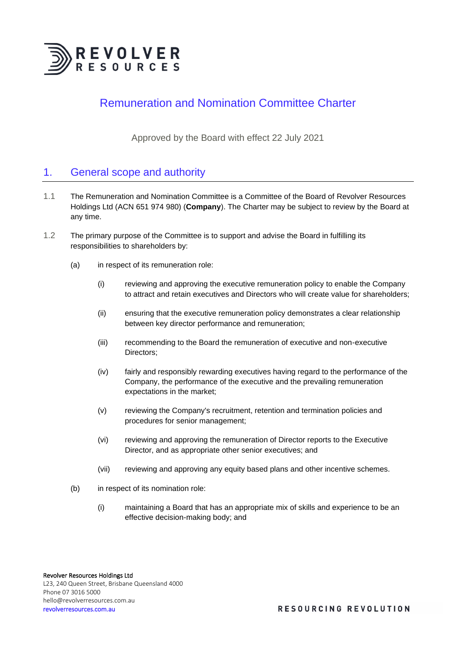

# Remuneration and Nomination Committee Charter

Approved by the Board with effect 22 July 2021

# 1. General scope and authority

- 1.1 The Remuneration and Nomination Committee is a Committee of the Board of Revolver Resources Holdings Ltd (ACN 651 974 980) (**Company**). The Charter may be subject to review by the Board at any time.
- 1.2 The primary purpose of the Committee is to support and advise the Board in fulfilling its responsibilities to shareholders by:
	- (a) in respect of its remuneration role:
		- (i) reviewing and approving the executive remuneration policy to enable the Company to attract and retain executives and Directors who will create value for shareholders;
		- (ii) ensuring that the executive remuneration policy demonstrates a clear relationship between key director performance and remuneration;
		- (iii) recommending to the Board the remuneration of executive and non-executive Directors;
		- (iv) fairly and responsibly rewarding executives having regard to the performance of the Company, the performance of the executive and the prevailing remuneration expectations in the market;
		- (v) reviewing the Company's recruitment, retention and termination policies and procedures for senior management;
		- (vi) reviewing and approving the remuneration of Director reports to the Executive Director, and as appropriate other senior executives; and
		- (vii) reviewing and approving any equity based plans and other incentive schemes.
	- (b) in respect of its nomination role:
		- (i) maintaining a Board that has an appropriate mix of skills and experience to be an effective decision-making body; and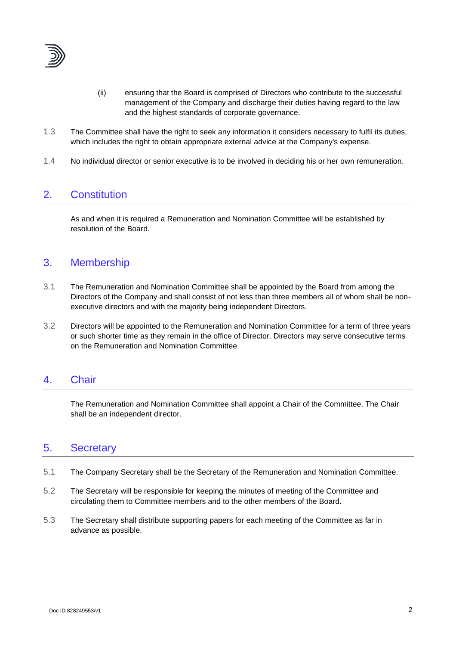

- (ii) ensuring that the Board is comprised of Directors who contribute to the successful management of the Company and discharge their duties having regard to the law and the highest standards of corporate governance.
- 1.3 The Committee shall have the right to seek any information it considers necessary to fulfil its duties, which includes the right to obtain appropriate external advice at the Company's expense.
- 1.4 No individual director or senior executive is to be involved in deciding his or her own remuneration.

## 2. Constitution

As and when it is required a Remuneration and Nomination Committee will be established by resolution of the Board.

## 3. Membership

- 3.1 The Remuneration and Nomination Committee shall be appointed by the Board from among the Directors of the Company and shall consist of not less than three members all of whom shall be nonexecutive directors and with the majority being independent Directors.
- 3.2 Directors will be appointed to the Remuneration and Nomination Committee for a term of three years or such shorter time as they remain in the office of Director. Directors may serve consecutive terms on the Remuneration and Nomination Committee.

#### 4. Chair

The Remuneration and Nomination Committee shall appoint a Chair of the Committee. The Chair shall be an independent director.

#### 5. Secretary

- 5.1 The Company Secretary shall be the Secretary of the Remuneration and Nomination Committee.
- 5.2 The Secretary will be responsible for keeping the minutes of meeting of the Committee and circulating them to Committee members and to the other members of the Board.
- 5.3 The Secretary shall distribute supporting papers for each meeting of the Committee as far in advance as possible.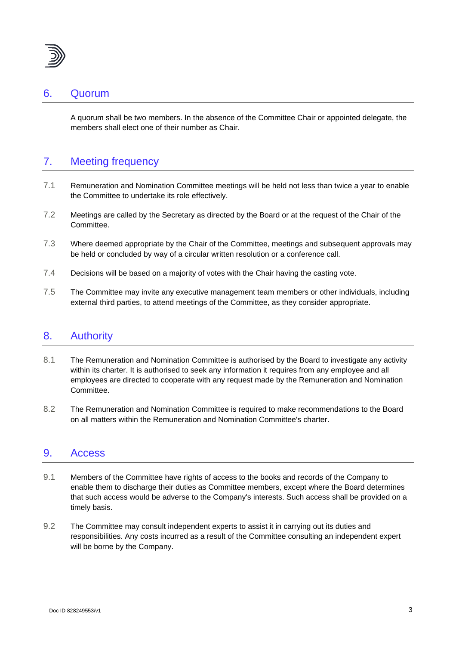

## 6. Quorum

A quorum shall be two members. In the absence of the Committee Chair or appointed delegate, the members shall elect one of their number as Chair.

## 7. Meeting frequency

- 7.1 Remuneration and Nomination Committee meetings will be held not less than twice a year to enable the Committee to undertake its role effectively.
- 7.2 Meetings are called by the Secretary as directed by the Board or at the request of the Chair of the Committee.
- 7.3 Where deemed appropriate by the Chair of the Committee, meetings and subsequent approvals may be held or concluded by way of a circular written resolution or a conference call.
- 7.4 Decisions will be based on a majority of votes with the Chair having the casting vote.
- 7.5 The Committee may invite any executive management team members or other individuals, including external third parties, to attend meetings of the Committee, as they consider appropriate.

#### 8. Authority

- 8.1 The Remuneration and Nomination Committee is authorised by the Board to investigate any activity within its charter. It is authorised to seek any information it requires from any employee and all employees are directed to cooperate with any request made by the Remuneration and Nomination Committee.
- 8.2 The Remuneration and Nomination Committee is required to make recommendations to the Board on all matters within the Remuneration and Nomination Committee's charter.

#### 9. Access

- 9.1 Members of the Committee have rights of access to the books and records of the Company to enable them to discharge their duties as Committee members, except where the Board determines that such access would be adverse to the Company's interests. Such access shall be provided on a timely basis.
- 9.2 The Committee may consult independent experts to assist it in carrying out its duties and responsibilities. Any costs incurred as a result of the Committee consulting an independent expert will be borne by the Company.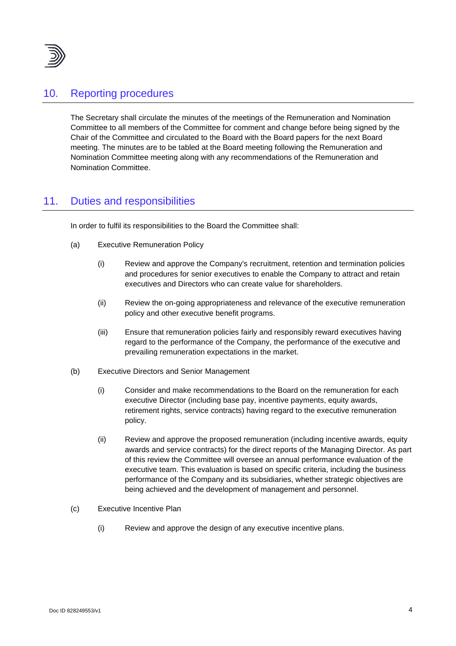

## 10. Reporting procedures

The Secretary shall circulate the minutes of the meetings of the Remuneration and Nomination Committee to all members of the Committee for comment and change before being signed by the Chair of the Committee and circulated to the Board with the Board papers for the next Board meeting. The minutes are to be tabled at the Board meeting following the Remuneration and Nomination Committee meeting along with any recommendations of the Remuneration and Nomination Committee.

#### 11. Duties and responsibilities

In order to fulfil its responsibilities to the Board the Committee shall:

- (a) Executive Remuneration Policy
	- (i) Review and approve the Company's recruitment, retention and termination policies and procedures for senior executives to enable the Company to attract and retain executives and Directors who can create value for shareholders.
	- (ii) Review the on-going appropriateness and relevance of the executive remuneration policy and other executive benefit programs.
	- (iii) Ensure that remuneration policies fairly and responsibly reward executives having regard to the performance of the Company, the performance of the executive and prevailing remuneration expectations in the market.
- <span id="page-3-0"></span>(b) Executive Directors and Senior Management
	- (i) Consider and make recommendations to the Board on the remuneration for each executive Director (including base pay, incentive payments, equity awards, retirement rights, service contracts) having regard to the executive remuneration policy.
	- (ii) Review and approve the proposed remuneration (including incentive awards, equity awards and service contracts) for the direct reports of the Managing Director. As part of this review the Committee will oversee an annual performance evaluation of the executive team. This evaluation is based on specific criteria, including the business performance of the Company and its subsidiaries, whether strategic objectives are being achieved and the development of management and personnel.
- (c) Executive Incentive Plan
	- (i) Review and approve the design of any executive incentive plans.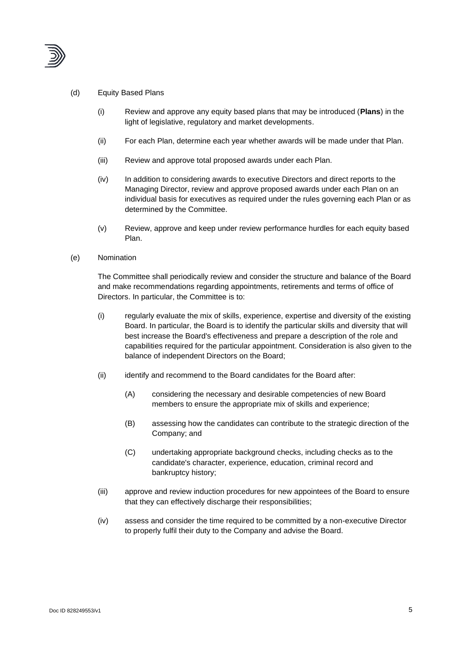

- (d) Equity Based Plans
	- (i) Review and approve any equity based plans that may be introduced (**Plans**) in the light of legislative, regulatory and market developments.
	- (ii) For each Plan, determine each year whether awards will be made under that Plan.
	- (iii) Review and approve total proposed awards under each Plan.
	- (iv) In addition to considering awards to executive Directors and direct reports to the Managing Director, review and approve proposed awards under each Plan on an individual basis for executives as required under the rules governing each Plan or as determined by the Committee.
	- (v) Review, approve and keep under review performance hurdles for each equity based Plan.
- (e) Nomination

The Committee shall periodically review and consider the structure and balance of the Board and make recommendations regarding appointments, retirements and terms of office of Directors. In particular, the Committee is to:

- (i) regularly evaluate the mix of skills, experience, expertise and diversity of the existing Board. In particular, the Board is to identify the particular skills and diversity that will best increase the Board's effectiveness and prepare a description of the role and capabilities required for the particular appointment. Consideration is also given to the balance of independent Directors on the Board;
- (ii) identify and recommend to the Board candidates for the Board after:
	- (A) considering the necessary and desirable competencies of new Board members to ensure the appropriate mix of skills and experience;
	- (B) assessing how the candidates can contribute to the strategic direction of the Company; and
	- (C) undertaking appropriate background checks, including checks as to the candidate's character, experience, education, criminal record and bankruptcy history;
- (iii) approve and review induction procedures for new appointees of the Board to ensure that they can effectively discharge their responsibilities;
- (iv) assess and consider the time required to be committed by a non-executive Director to properly fulfil their duty to the Company and advise the Board.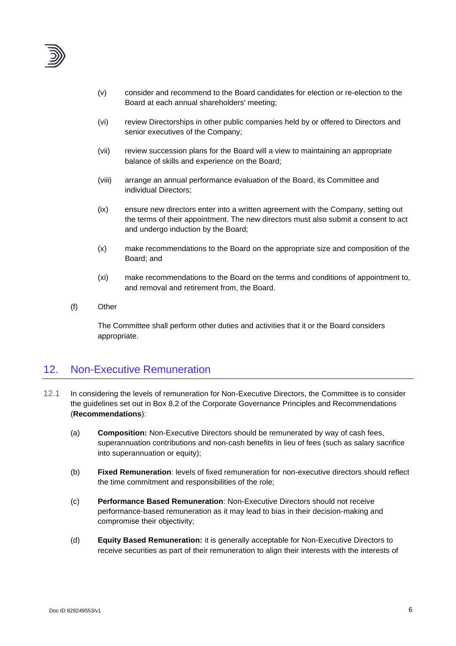

- (v) consider and recommend to the Board candidates for election or re-election to the Board at each annual shareholders' meeting;
- (vi) review Directorships in other public companies held by or offered to Directors and senior executives of the Company;
- (vii) review succession plans for the Board will a view to maintaining an appropriate balance of skills and experience on the Board;
- (viii) arrange an annual performance evaluation of the Board, its Committee and individual Directors;
- (ix) ensure new directors enter into a written agreement with the Company, setting out the terms of their appointment. The new directors must also submit a consent to act and undergo induction by the Board;
- (x) make recommendations to the Board on the appropriate size and composition of the Board; and
- (xi) make recommendations to the Board on the terms and conditions of appointment to, and removal and retirement from, the Board.
- (f) Other

The Committee shall perform other duties and activities that it or the Board considers appropriate.

## 12. Non-Executive Remuneration

- 12.1 In considering the levels of remuneration for Non-Executive Directors, the Committee is to consider the guidelines set out in Box 8.2 of the Corporate Governance Principles and Recommendations (**Recommendations**):
	- (a) **Composition:** Non-Executive Directors should be remunerated by way of cash fees, superannuation contributions and non-cash benefits in lieu of fees (such as salary sacrifice into superannuation or equity);
	- (b) **Fixed Remuneration**: levels of fixed remuneration for non-executive directors should reflect the time commitment and responsibilities of the role;
	- (c) **Performance Based Remuneration**: Non-Executive Directors should not receive performance-based remuneration as it may lead to bias in their decision-making and compromise their objectivity;
	- (d) **Equity Based Remuneration:** it is generally acceptable for Non-Executive Directors to receive securities as part of their remuneration to align their interests with the interests of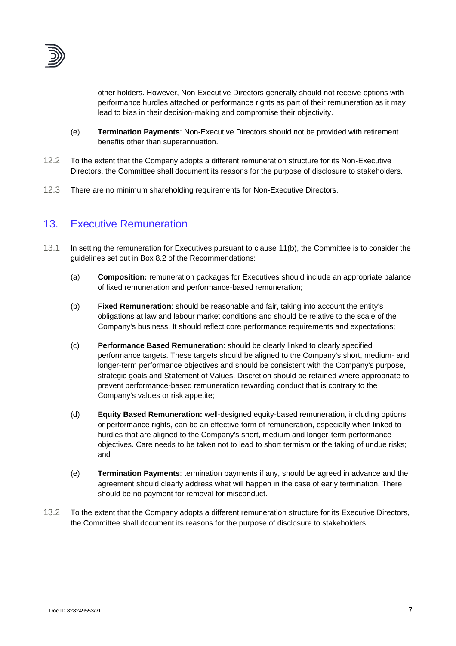

other holders. However, Non-Executive Directors generally should not receive options with performance hurdles attached or performance rights as part of their remuneration as it may lead to bias in their decision-making and compromise their objectivity.

- (e) **Termination Payments**: Non-Executive Directors should not be provided with retirement benefits other than superannuation.
- 12.2 To the extent that the Company adopts a different remuneration structure for its Non-Executive Directors, the Committee shall document its reasons for the purpose of disclosure to stakeholders.
- 12.3 There are no minimum shareholding requirements for Non-Executive Directors.

## 13. Executive Remuneration

- 13.1 In setting the remuneration for Executives pursuant to clause [11\(b\),](#page-3-0) the Committee is to consider the guidelines set out in Box 8.2 of the Recommendations:
	- (a) **Composition:** remuneration packages for Executives should include an appropriate balance of fixed remuneration and performance-based remuneration;
	- (b) **Fixed Remuneration**: should be reasonable and fair, taking into account the entity's obligations at law and labour market conditions and should be relative to the scale of the Company's business. It should reflect core performance requirements and expectations;
	- (c) **Performance Based Remuneration**: should be clearly linked to clearly specified performance targets. These targets should be aligned to the Company's short, medium- and longer-term performance objectives and should be consistent with the Company's purpose, strategic goals and Statement of Values. Discretion should be retained where appropriate to prevent performance-based remuneration rewarding conduct that is contrary to the Company's values or risk appetite;
	- (d) **Equity Based Remuneration:** well-designed equity-based remuneration, including options or performance rights, can be an effective form of remuneration, especially when linked to hurdles that are aligned to the Company's short, medium and longer-term performance objectives. Care needs to be taken not to lead to short termism or the taking of undue risks; and
	- (e) **Termination Payments**: termination payments if any, should be agreed in advance and the agreement should clearly address what will happen in the case of early termination. There should be no payment for removal for misconduct.
- 13.2 To the extent that the Company adopts a different remuneration structure for its Executive Directors, the Committee shall document its reasons for the purpose of disclosure to stakeholders.